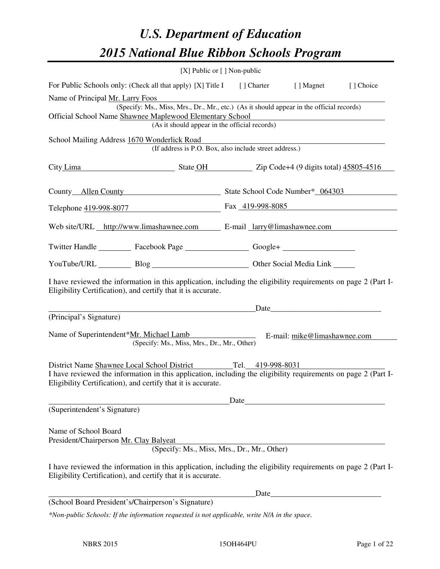# *U.S. Department of Education 2015 National Blue Ribbon Schools Program*

|                                                                                                                                                                                                                                           | $[X]$ Public or $[ ]$ Non-public |                                                        |                              |           |
|-------------------------------------------------------------------------------------------------------------------------------------------------------------------------------------------------------------------------------------------|----------------------------------|--------------------------------------------------------|------------------------------|-----------|
| For Public Schools only: (Check all that apply) [X] Title I [] Charter                                                                                                                                                                    |                                  |                                                        | [ ] Magnet                   | [] Choice |
| Name of Principal Mr. Larry Foos<br>(Specify: Ms., Miss, Mrs., Dr., Mr., etc.) (As it should appear in the official records)<br>Official School Name Shawnee Maplewood Elementary School<br>(As it should appear in the official records) |                                  |                                                        |                              |           |
| School Mailing Address 1670 Wonderlick Road                                                                                                                                                                                               |                                  | (If address is P.O. Box, also include street address.) |                              |           |
| City Lima State OH State OH Zip Code+4 (9 digits total) 45805-4516                                                                                                                                                                        |                                  |                                                        |                              |           |
| County Allen County State School Code Number* 064303                                                                                                                                                                                      |                                  |                                                        |                              |           |
| Telephone 419-998-8077 Fax 419-998-8085                                                                                                                                                                                                   |                                  |                                                        |                              |           |
| Web site/URL http://www.limashawnee.com E-mail larry@limashawnee.com                                                                                                                                                                      |                                  |                                                        |                              |           |
| Twitter Handle ___________ Facebook Page __________________ Google+ ____________                                                                                                                                                          |                                  |                                                        |                              |           |
| YouTube/URL Blog Blog Discount Cher Social Media Link                                                                                                                                                                                     |                                  |                                                        |                              |           |
| I have reviewed the information in this application, including the eligibility requirements on page 2 (Part I-<br>Eligibility Certification), and certify that it is accurate.                                                            |                                  |                                                        |                              |           |
|                                                                                                                                                                                                                                           |                                  |                                                        | Date                         |           |
| (Principal's Signature)<br>Name of Superintendent*Mr. Michael Lamb<br>(Specify: Ms., Miss, Mrs., Dr., Mr., Other)                                                                                                                         |                                  |                                                        | E-mail: mike@limashawnee.com |           |
| District Name Shawnee Local School District<br>I have reviewed the information in this application, including the eligibility requirements on page 2 (Part I-<br>Eligibility Certification), and certify that it is accurate.             |                                  | Tel. 419-998-8031                                      |                              |           |
|                                                                                                                                                                                                                                           |                                  | Date                                                   |                              |           |
| (Superintendent's Signature)                                                                                                                                                                                                              |                                  |                                                        |                              |           |
| Name of School Board<br>President/Chairperson Mr. Clay Balyeat                                                                                                                                                                            |                                  | (Specify: Ms., Miss, Mrs., Dr., Mr., Other)            |                              |           |
| I have reviewed the information in this application, including the eligibility requirements on page 2 (Part I-<br>Eligibility Certification), and certify that it is accurate.                                                            |                                  |                                                        |                              |           |
|                                                                                                                                                                                                                                           |                                  | Date                                                   |                              |           |
| (School Board President's/Chairperson's Signature)                                                                                                                                                                                        |                                  |                                                        |                              |           |
| *Non-public Schools: If the information requested is not applicable, write N/A in the space.                                                                                                                                              |                                  |                                                        |                              |           |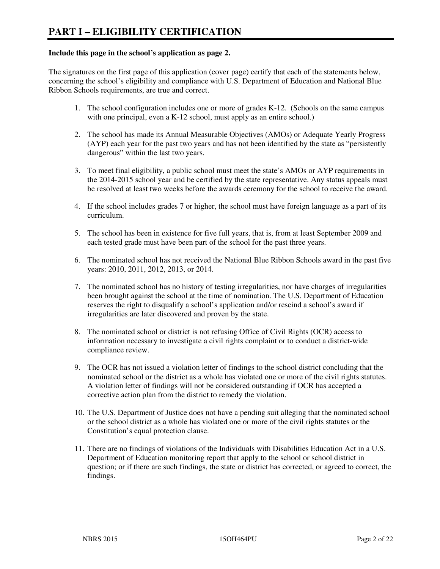#### **Include this page in the school's application as page 2.**

The signatures on the first page of this application (cover page) certify that each of the statements below, concerning the school's eligibility and compliance with U.S. Department of Education and National Blue Ribbon Schools requirements, are true and correct.

- 1. The school configuration includes one or more of grades K-12. (Schools on the same campus with one principal, even a K-12 school, must apply as an entire school.)
- 2. The school has made its Annual Measurable Objectives (AMOs) or Adequate Yearly Progress (AYP) each year for the past two years and has not been identified by the state as "persistently dangerous" within the last two years.
- 3. To meet final eligibility, a public school must meet the state's AMOs or AYP requirements in the 2014-2015 school year and be certified by the state representative. Any status appeals must be resolved at least two weeks before the awards ceremony for the school to receive the award.
- 4. If the school includes grades 7 or higher, the school must have foreign language as a part of its curriculum.
- 5. The school has been in existence for five full years, that is, from at least September 2009 and each tested grade must have been part of the school for the past three years.
- 6. The nominated school has not received the National Blue Ribbon Schools award in the past five years: 2010, 2011, 2012, 2013, or 2014.
- 7. The nominated school has no history of testing irregularities, nor have charges of irregularities been brought against the school at the time of nomination. The U.S. Department of Education reserves the right to disqualify a school's application and/or rescind a school's award if irregularities are later discovered and proven by the state.
- 8. The nominated school or district is not refusing Office of Civil Rights (OCR) access to information necessary to investigate a civil rights complaint or to conduct a district-wide compliance review.
- 9. The OCR has not issued a violation letter of findings to the school district concluding that the nominated school or the district as a whole has violated one or more of the civil rights statutes. A violation letter of findings will not be considered outstanding if OCR has accepted a corrective action plan from the district to remedy the violation.
- 10. The U.S. Department of Justice does not have a pending suit alleging that the nominated school or the school district as a whole has violated one or more of the civil rights statutes or the Constitution's equal protection clause.
- 11. There are no findings of violations of the Individuals with Disabilities Education Act in a U.S. Department of Education monitoring report that apply to the school or school district in question; or if there are such findings, the state or district has corrected, or agreed to correct, the findings.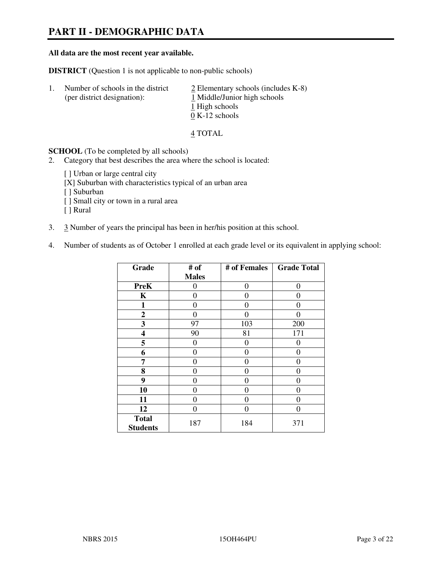## **PART II - DEMOGRAPHIC DATA**

#### **All data are the most recent year available.**

**DISTRICT** (Question 1 is not applicable to non-public schools)

| Τ. | Number of schools in the district<br>(per district designation): | $\angle$ Elementary schools (includes K-8)<br>1 Middle/Junior high schools |
|----|------------------------------------------------------------------|----------------------------------------------------------------------------|
|    |                                                                  | 1 High schools<br>$0 K-12$ schools                                         |

4 TOTAL

**SCHOOL** (To be completed by all schools)

- 2. Category that best describes the area where the school is located:
	- [ ] Urban or large central city
	- [X] Suburban with characteristics typical of an urban area
	- [ ] Suburban
	- [ ] Small city or town in a rural area
	- [ ] Rural
- 3. 3 Number of years the principal has been in her/his position at this school.
- 4. Number of students as of October 1 enrolled at each grade level or its equivalent in applying school:

| Grade                           | # of         | # of Females | <b>Grade Total</b> |
|---------------------------------|--------------|--------------|--------------------|
|                                 | <b>Males</b> |              |                    |
| <b>PreK</b>                     | 0            | $\theta$     | $\theta$           |
| K                               | 0            | $\theta$     | $\theta$           |
| 1                               | 0            | 0            | $\theta$           |
| $\mathbf{2}$                    | 0            | 0            | 0                  |
| 3                               | 97           | 103          | 200                |
| 4                               | 90           | 81           | 171                |
| 5                               | 0            | 0            | $_{0}$             |
| 6                               | 0            | $\Omega$     | 0                  |
| 7                               | 0            | $\Omega$     | 0                  |
| 8                               | 0            | 0            | 0                  |
| 9                               | 0            | 0            | 0                  |
| 10                              | 0            | 0            | 0                  |
| 11                              | 0            | 0            | $\theta$           |
| 12                              | 0            | 0            | 0                  |
| <b>Total</b><br><b>Students</b> | 187          | 184          | 371                |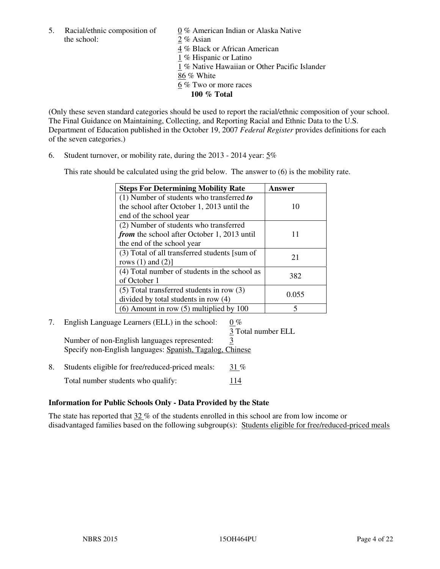5. Racial/ethnic composition of  $0\%$  American Indian or Alaska Native the school: 2 % Asian

 4 % Black or African American 1 % Hispanic or Latino 1 % Native Hawaiian or Other Pacific Islander 86 % White 6 % Two or more races **100 % Total** 

(Only these seven standard categories should be used to report the racial/ethnic composition of your school. The Final Guidance on Maintaining, Collecting, and Reporting Racial and Ethnic Data to the U.S. Department of Education published in the October 19, 2007 *Federal Register* provides definitions for each of the seven categories.)

6. Student turnover, or mobility rate, during the 2013 - 2014 year: 5%

This rate should be calculated using the grid below. The answer to (6) is the mobility rate.

| <b>Steps For Determining Mobility Rate</b>         | Answer |
|----------------------------------------------------|--------|
| $(1)$ Number of students who transferred to        |        |
| the school after October 1, 2013 until the         | 10     |
| end of the school year                             |        |
| (2) Number of students who transferred             |        |
| <i>from</i> the school after October 1, 2013 until |        |
| the end of the school year                         |        |
| (3) Total of all transferred students [sum of      | 21     |
| rows $(1)$ and $(2)$ ]                             |        |
| (4) Total number of students in the school as      | 382    |
| of October 1                                       |        |
| $(5)$ Total transferred students in row $(3)$      | 0.055  |
| divided by total students in row (4)               |        |
| $(6)$ Amount in row $(5)$ multiplied by 100        | 5      |

# 7. English Language Learners (ELL) in the school: 0 %

3 Total number ELL

Number of non-English languages represented: 3 Specify non-English languages: Spanish, Tagalog, Chinese

8. Students eligible for free/reduced-priced meals:  $31\%$ Total number students who qualify: 114

#### **Information for Public Schools Only - Data Provided by the State**

The state has reported that  $32\%$  of the students enrolled in this school are from low income or disadvantaged families based on the following subgroup(s): Students eligible for free/reduced-priced meals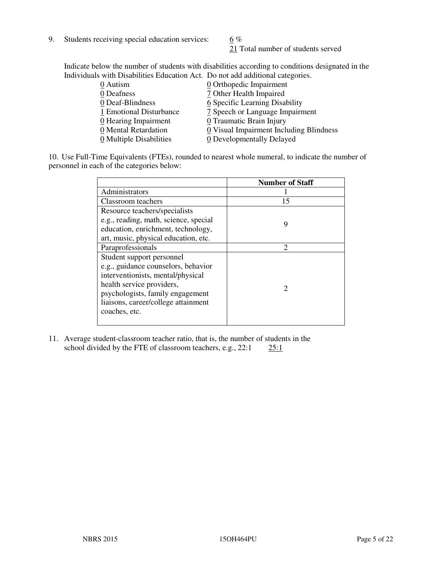9. Students receiving special education services:  $6\%$ 

21 Total number of students served

Indicate below the number of students with disabilities according to conditions designated in the Individuals with Disabilities Education Act. Do not add additional categories.

| 0 Autism                           | 0 Orthopedic Impairment                 |
|------------------------------------|-----------------------------------------|
| 0 Deafness                         | 7 Other Health Impaired                 |
| 0 Deaf-Blindness                   | 6 Specific Learning Disability          |
| 1 Emotional Disturbance            | 7 Speech or Language Impairment         |
| $\underline{0}$ Hearing Impairment | 0 Traumatic Brain Injury                |
| 0 Mental Retardation               | 0 Visual Impairment Including Blindness |
| 0 Multiple Disabilities            | 0 Developmentally Delayed               |
|                                    |                                         |

10. Use Full-Time Equivalents (FTEs), rounded to nearest whole numeral, to indicate the number of personnel in each of the categories below:

|                                       | <b>Number of Staff</b>      |
|---------------------------------------|-----------------------------|
| Administrators                        |                             |
| Classroom teachers                    | 15                          |
| Resource teachers/specialists         |                             |
| e.g., reading, math, science, special | 9                           |
| education, enrichment, technology,    |                             |
| art, music, physical education, etc.  |                             |
| Paraprofessionals                     | $\mathcal{D}_{\mathcal{A}}$ |
| Student support personnel             |                             |
| e.g., guidance counselors, behavior   |                             |
| interventionists, mental/physical     |                             |
| health service providers,             | 2                           |
| psychologists, family engagement      |                             |
| liaisons, career/college attainment   |                             |
| coaches, etc.                         |                             |
|                                       |                             |

11. Average student-classroom teacher ratio, that is, the number of students in the school divided by the FTE of classroom teachers, e.g.,  $22:1$   $25:1$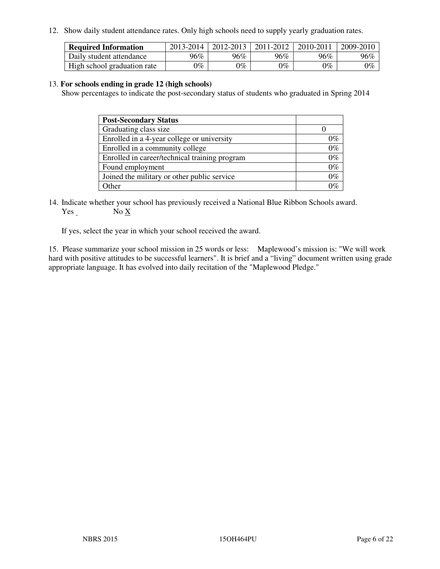12. Show daily student attendance rates. Only high schools need to supply yearly graduation rates.

| <b>Required Information</b> | 2013-2014     | 2012-2013 | 2011-2012 | 2010-2011 | 2009-2010 |
|-----------------------------|---------------|-----------|-----------|-----------|-----------|
| Daily student attendance    | 96%           | $96\%$    | 96%       | 96%       | 96%       |
| High school graduation rate | $\gamma_{\%}$ | 9%        | $0\%$     | $0\%$     | $0\%$     |

#### 13. **For schools ending in grade 12 (high schools)**

Show percentages to indicate the post-secondary status of students who graduated in Spring 2014

| <b>Post-Secondary Status</b>                  |       |
|-----------------------------------------------|-------|
| Graduating class size                         |       |
| Enrolled in a 4-year college or university    | በ‰    |
| Enrolled in a community college               | $0\%$ |
| Enrolled in career/technical training program | $0\%$ |
| Found employment                              | $0\%$ |
| Joined the military or other public service   | $0\%$ |
| Other                                         |       |

14. Indicate whether your school has previously received a National Blue Ribbon Schools award. Yes No X

If yes, select the year in which your school received the award.

15. Please summarize your school mission in 25 words or less: Maplewood's mission is: "We will work hard with positive attitudes to be successful learners". It is brief and a "living" document written using grade appropriate language. It has evolved into daily recitation of the "Maplewood Pledge."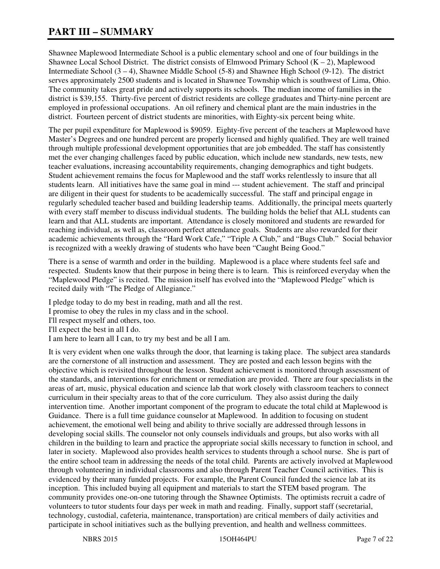# **PART III – SUMMARY**

Shawnee Maplewood Intermediate School is a public elementary school and one of four buildings in the Shawnee Local School District. The district consists of Elmwood Primary School  $(K - 2)$ , Maplewood Intermediate School (3 – 4), Shawnee Middle School (5-8) and Shawnee High School (9-12). The district serves approximately 2500 students and is located in Shawnee Township which is southwest of Lima, Ohio. The community takes great pride and actively supports its schools. The median income of families in the district is \$39,155. Thirty-five percent of district residents are college graduates and Thirty-nine percent are employed in professional occupations. An oil refinery and chemical plant are the main industries in the district. Fourteen percent of district students are minorities, with Eighty-six percent being white.

The per pupil expenditure for Maplewood is \$9059. Eighty-five percent of the teachers at Maplewood have Master's Degrees and one hundred percent are properly licensed and highly qualified. They are well trained through multiple professional development opportunities that are job embedded. The staff has consistently met the ever changing challenges faced by public education, which include new standards, new tests, new teacher evaluations, increasing accountability requirements, changing demographics and tight budgets. Student achievement remains the focus for Maplewood and the staff works relentlessly to insure that all students learn. All initiatives have the same goal in mind --- student achievement. The staff and principal are diligent in their quest for students to be academically successful. The staff and principal engage in regularly scheduled teacher based and building leadership teams. Additionally, the principal meets quarterly with every staff member to discuss individual students. The building holds the belief that ALL students can learn and that ALL students are important. Attendance is closely monitored and students are rewarded for reaching individual, as well as, classroom perfect attendance goals. Students are also rewarded for their academic achievements through the "Hard Work Cafe," "Triple A Club," and "Bugs Club." Social behavior is recognized with a weekly drawing of students who have been "Caught Being Good."

There is a sense of warmth and order in the building. Maplewood is a place where students feel safe and respected. Students know that their purpose in being there is to learn. This is reinforced everyday when the "Maplewood Pledge" is recited. The mission itself has evolved into the "Maplewood Pledge" which is recited daily with "The Pledge of Allegiance."

I pledge today to do my best in reading, math and all the rest. I promise to obey the rules in my class and in the school. I'll respect myself and others, too. I'll expect the best in all I do. I am here to learn all I can, to try my best and be all I am.

It is very evident when one walks through the door, that learning is taking place. The subject area standards are the cornerstone of all instruction and assessment. They are posted and each lesson begins with the objective which is revisited throughout the lesson. Student achievement is monitored through assessment of the standards, and interventions for enrichment or remediation are provided. There are four specialists in the areas of art, music, physical education and science lab that work closely with classroom teachers to connect curriculum in their specialty areas to that of the core curriculum. They also assist during the daily intervention time. Another important component of the program to educate the total child at Maplewood is Guidance. There is a full time guidance counselor at Maplewood. In addition to focusing on student achievement, the emotional well being and ability to thrive socially are addressed through lessons in developing social skills. The counselor not only counsels individuals and groups, but also works with all children in the building to learn and practice the appropriate social skills necessary to function in school, and later in society. Maplewood also provides health services to students through a school nurse. She is part of the entire school team in addressing the needs of the total child. Parents are actively involved at Maplewood through volunteering in individual classrooms and also through Parent Teacher Council activities. This is evidenced by their many funded projects. For example, the Parent Council funded the science lab at its inception. This included buying all equipment and materials to start the STEM based program. The community provides one-on-one tutoring through the Shawnee Optimists. The optimists recruit a cadre of volunteers to tutor students four days per week in math and reading. Finally, support staff (secretarial, technology, custodial, cafeteria, maintenance, transportation) are critical members of daily activities and participate in school initiatives such as the bullying prevention, and health and wellness committees.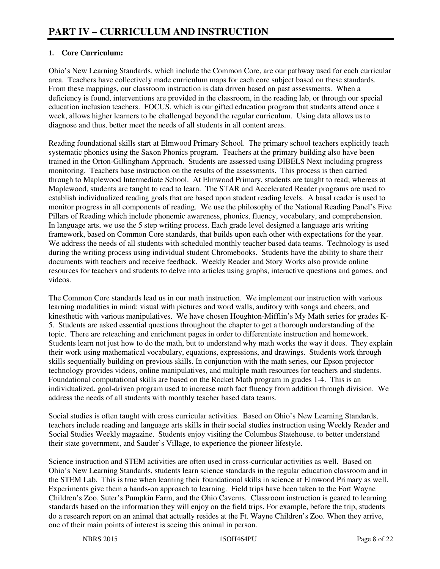#### **1. Core Curriculum:**

Ohio's New Learning Standards, which include the Common Core, are our pathway used for each curricular area. Teachers have collectively made curriculum maps for each core subject based on these standards. From these mappings, our classroom instruction is data driven based on past assessments. When a deficiency is found, interventions are provided in the classroom, in the reading lab, or through our special education inclusion teachers. FOCUS, which is our gifted education program that students attend once a week, allows higher learners to be challenged beyond the regular curriculum. Using data allows us to diagnose and thus, better meet the needs of all students in all content areas.

Reading foundational skills start at Elmwood Primary School. The primary school teachers explicitly teach systematic phonics using the Saxon Phonics program. Teachers at the primary building also have been trained in the Orton-Gillingham Approach. Students are assessed using DIBELS Next including progress monitoring. Teachers base instruction on the results of the assessments. This process is then carried through to Maplewood Intermediate School. At Elmwood Primary, students are taught to read; whereas at Maplewood, students are taught to read to learn. The STAR and Accelerated Reader programs are used to establish individualized reading goals that are based upon student reading levels. A basal reader is used to monitor progress in all components of reading. We use the philosophy of the National Reading Panel's Five Pillars of Reading which include phonemic awareness, phonics, fluency, vocabulary, and comprehension. In language arts, we use the 5 step writing process. Each grade level designed a language arts writing framework, based on Common Core standards, that builds upon each other with expectations for the year. We address the needs of all students with scheduled monthly teacher based data teams. Technology is used during the writing process using individual student Chromebooks. Students have the ability to share their documents with teachers and receive feedback. Weekly Reader and Story Works also provide online resources for teachers and students to delve into articles using graphs, interactive questions and games, and videos.

The Common Core standards lead us in our math instruction. We implement our instruction with various learning modalities in mind: visual with pictures and word walls, auditory with songs and cheers, and kinesthetic with various manipulatives. We have chosen Houghton-Mifflin's My Math series for grades K-5. Students are asked essential questions throughout the chapter to get a thorough understanding of the topic. There are reteaching and enrichment pages in order to differentiate instruction and homework. Students learn not just how to do the math, but to understand why math works the way it does. They explain their work using mathematical vocabulary, equations, expressions, and drawings. Students work through skills sequentially building on previous skills. In conjunction with the math series, our Epson projector technology provides videos, online manipulatives, and multiple math resources for teachers and students. Foundational computational skills are based on the Rocket Math program in grades 1-4. This is an individualized, goal-driven program used to increase math fact fluency from addition through division. We address the needs of all students with monthly teacher based data teams.

Social studies is often taught with cross curricular activities. Based on Ohio's New Learning Standards, teachers include reading and language arts skills in their social studies instruction using Weekly Reader and Social Studies Weekly magazine. Students enjoy visiting the Columbus Statehouse, to better understand their state government, and Sauder's Village, to experience the pioneer lifestyle.

Science instruction and STEM activities are often used in cross-curricular activities as well. Based on Ohio's New Learning Standards, students learn science standards in the regular education classroom and in the STEM Lab. This is true when learning their foundational skills in science at Elmwood Primary as well. Experiments give them a hands-on approach to learning. Field trips have been taken to the Fort Wayne Children's Zoo, Suter's Pumpkin Farm, and the Ohio Caverns. Classroom instruction is geared to learning standards based on the information they will enjoy on the field trips. For example, before the trip, students do a research report on an animal that actually resides at the Ft. Wayne Children's Zoo. When they arrive, one of their main points of interest is seeing this animal in person.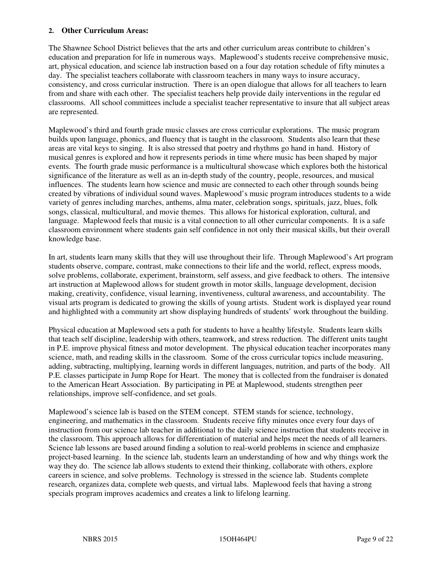#### **2. Other Curriculum Areas:**

The Shawnee School District believes that the arts and other curriculum areas contribute to children's education and preparation for life in numerous ways. Maplewood's students receive comprehensive music, art, physical education, and science lab instruction based on a four day rotation schedule of fifty minutes a day. The specialist teachers collaborate with classroom teachers in many ways to insure accuracy, consistency, and cross curricular instruction. There is an open dialogue that allows for all teachers to learn from and share with each other. The specialist teachers help provide daily interventions in the regular ed classrooms. All school committees include a specialist teacher representative to insure that all subject areas are represented.

Maplewood's third and fourth grade music classes are cross curricular explorations. The music program builds upon language, phonics, and fluency that is taught in the classroom. Students also learn that these areas are vital keys to singing. It is also stressed that poetry and rhythms go hand in hand. History of musical genres is explored and how it represents periods in time where music has been shaped by major events. The fourth grade music performance is a multicultural showcase which explores both the historical significance of the literature as well as an in-depth study of the country, people, resources, and musical influences. The students learn how science and music are connected to each other through sounds being created by vibrations of individual sound waves. Maplewood's music program introduces students to a wide variety of genres including marches, anthems, alma mater, celebration songs, spirituals, jazz, blues, folk songs, classical, multicultural, and movie themes. This allows for historical exploration, cultural, and language. Maplewood feels that music is a vital connection to all other curricular components. It is a safe classroom environment where students gain self confidence in not only their musical skills, but their overall knowledge base.

In art, students learn many skills that they will use throughout their life. Through Maplewood's Art program students observe, compare, contrast, make connections to their life and the world, reflect, express moods, solve problems, collaborate, experiment, brainstorm, self assess, and give feedback to others. The intensive art instruction at Maplewood allows for student growth in motor skills, language development, decision making, creativity, confidence, visual learning, inventiveness, cultural awareness, and accountability. The visual arts program is dedicated to growing the skills of young artists. Student work is displayed year round and highlighted with a community art show displaying hundreds of students' work throughout the building.

Physical education at Maplewood sets a path for students to have a healthy lifestyle. Students learn skills that teach self discipline, leadership with others, teamwork, and stress reduction. The different units taught in P.E. improve physical fitness and motor development. The physical education teacher incorporates many science, math, and reading skills in the classroom. Some of the cross curricular topics include measuring, adding, subtracting, multiplying, learning words in different languages, nutrition, and parts of the body. All P.E. classes participate in Jump Rope for Heart. The money that is collected from the fundraiser is donated to the American Heart Association. By participating in PE at Maplewood, students strengthen peer relationships, improve self-confidence, and set goals.

Maplewood's science lab is based on the STEM concept. STEM stands for science, technology, engineering, and mathematics in the classroom. Students receive fifty minutes once every four days of instruction from our science lab teacher in additional to the daily science instruction that students receive in the classroom. This approach allows for differentiation of material and helps meet the needs of all learners. Science lab lessons are based around finding a solution to real-world problems in science and emphasize project-based learning. In the science lab, students learn an understanding of how and why things work the way they do. The science lab allows students to extend their thinking, collaborate with others, explore careers in science, and solve problems. Technology is stressed in the science lab. Students complete research, organizes data, complete web quests, and virtual labs. Maplewood feels that having a strong specials program improves academics and creates a link to lifelong learning.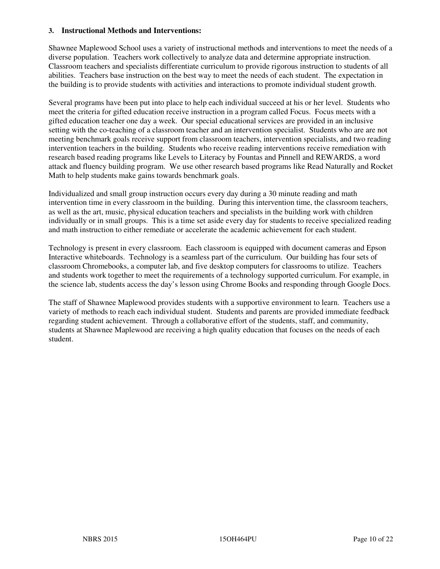#### **3. Instructional Methods and Interventions:**

Shawnee Maplewood School uses a variety of instructional methods and interventions to meet the needs of a diverse population. Teachers work collectively to analyze data and determine appropriate instruction. Classroom teachers and specialists differentiate curriculum to provide rigorous instruction to students of all abilities. Teachers base instruction on the best way to meet the needs of each student. The expectation in the building is to provide students with activities and interactions to promote individual student growth.

Several programs have been put into place to help each individual succeed at his or her level. Students who meet the criteria for gifted education receive instruction in a program called Focus. Focus meets with a gifted education teacher one day a week. Our special educational services are provided in an inclusive setting with the co-teaching of a classroom teacher and an intervention specialist. Students who are are not meeting benchmark goals receive support from classroom teachers, intervention specialists, and two reading intervention teachers in the building. Students who receive reading interventions receive remediation with research based reading programs like Levels to Literacy by Fountas and Pinnell and REWARDS, a word attack and fluency building program. We use other research based programs like Read Naturally and Rocket Math to help students make gains towards benchmark goals.

Individualized and small group instruction occurs every day during a 30 minute reading and math intervention time in every classroom in the building. During this intervention time, the classroom teachers, as well as the art, music, physical education teachers and specialists in the building work with children individually or in small groups. This is a time set aside every day for students to receive specialized reading and math instruction to either remediate or accelerate the academic achievement for each student.

Technology is present in every classroom. Each classroom is equipped with document cameras and Epson Interactive whiteboards. Technology is a seamless part of the curriculum. Our building has four sets of classroom Chromebooks, a computer lab, and five desktop computers for classrooms to utilize. Teachers and students work together to meet the requirements of a technology supported curriculum. For example, in the science lab, students access the day's lesson using Chrome Books and responding through Google Docs.

The staff of Shawnee Maplewood provides students with a supportive environment to learn. Teachers use a variety of methods to reach each individual student. Students and parents are provided immediate feedback regarding student achievement. Through a collaborative effort of the students, staff, and community, students at Shawnee Maplewood are receiving a high quality education that focuses on the needs of each student.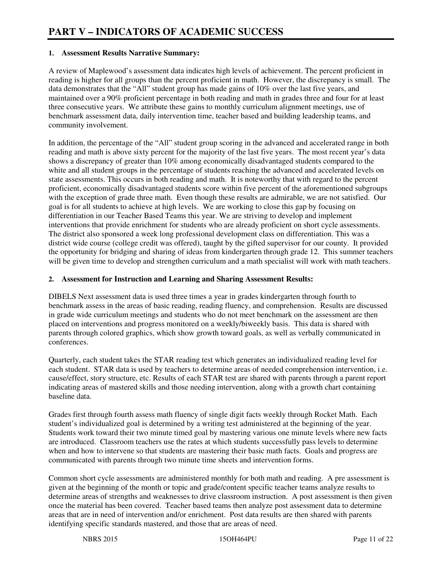#### **1. Assessment Results Narrative Summary:**

A review of Maplewood's assessment data indicates high levels of achievement. The percent proficient in reading is higher for all groups than the percent proficient in math. However, the discrepancy is small. The data demonstrates that the "All" student group has made gains of 10% over the last five years, and maintained over a 90% proficient percentage in both reading and math in grades three and four for at least three consecutive years. We attribute these gains to monthly curriculum alignment meetings, use of benchmark assessment data, daily intervention time, teacher based and building leadership teams, and community involvement.

In addition, the percentage of the "All" student group scoring in the advanced and accelerated range in both reading and math is above sixty percent for the majority of the last five years. The most recent year's data shows a discrepancy of greater than 10% among economically disadvantaged students compared to the white and all student groups in the percentage of students reaching the advanced and accelerated levels on state assessments. This occurs in both reading and math. It is noteworthy that with regard to the percent proficient, economically disadvantaged students score within five percent of the aforementioned subgroups with the exception of grade three math. Even though these results are admirable, we are not satisfied. Our goal is for all students to achieve at high levels. We are working to close this gap by focusing on differentiation in our Teacher Based Teams this year. We are striving to develop and implement interventions that provide enrichment for students who are already proficient on short cycle assessments. The district also sponsored a week long professional development class on differentiation. This was a district wide course (college credit was offered), taught by the gifted supervisor for our county. It provided the opportunity for bridging and sharing of ideas from kindergarten through grade 12. This summer teachers will be given time to develop and strengthen curriculum and a math specialist will work with math teachers.

#### **2. Assessment for Instruction and Learning and Sharing Assessment Results:**

DIBELS Next assessment data is used three times a year in grades kindergarten through fourth to benchmark assess in the areas of basic reading, reading fluency, and comprehension. Results are discussed in grade wide curriculum meetings and students who do not meet benchmark on the assessment are then placed on interventions and progress monitored on a weekly/biweekly basis. This data is shared with parents through colored graphics, which show growth toward goals, as well as verbally communicated in conferences.

Quarterly, each student takes the STAR reading test which generates an individualized reading level for each student. STAR data is used by teachers to determine areas of needed comprehension intervention, i.e. cause/effect, story structure, etc. Results of each STAR test are shared with parents through a parent report indicating areas of mastered skills and those needing intervention, along with a growth chart containing baseline data.

Grades first through fourth assess math fluency of single digit facts weekly through Rocket Math. Each student's individualized goal is determined by a writing test administered at the beginning of the year. Students work toward their two minute timed goal by mastering various one minute levels where new facts are introduced. Classroom teachers use the rates at which students successfully pass levels to determine when and how to intervene so that students are mastering their basic math facts. Goals and progress are communicated with parents through two minute time sheets and intervention forms.

Common short cycle assessments are administered monthly for both math and reading. A pre assessment is given at the beginning of the month or topic and grade/content specific teacher teams analyze results to determine areas of strengths and weaknesses to drive classroom instruction. A post assessment is then given once the material has been covered. Teacher based teams then analyze post assessment data to determine areas that are in need of intervention and/or enrichment. Post data results are then shared with parents identifying specific standards mastered, and those that are areas of need.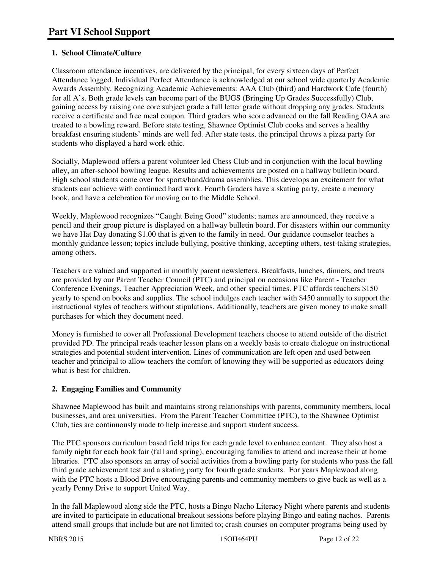#### **1. School Climate/Culture**

Classroom attendance incentives, are delivered by the principal, for every sixteen days of Perfect Attendance logged. Individual Perfect Attendance is acknowledged at our school wide quarterly Academic Awards Assembly. Recognizing Academic Achievements: AAA Club (third) and Hardwork Cafe (fourth) for all A's. Both grade levels can become part of the BUGS (Bringing Up Grades Successfully) Club, gaining access by raising one core subject grade a full letter grade without dropping any grades. Students receive a certificate and free meal coupon. Third graders who score advanced on the fall Reading OAA are treated to a bowling reward. Before state testing, Shawnee Optimist Club cooks and serves a healthy breakfast ensuring students' minds are well fed. After state tests, the principal throws a pizza party for students who displayed a hard work ethic.

Socially, Maplewood offers a parent volunteer led Chess Club and in conjunction with the local bowling alley, an after-school bowling league. Results and achievements are posted on a hallway bulletin board. High school students come over for sports/band/drama assemblies. This develops an excitement for what students can achieve with continued hard work. Fourth Graders have a skating party, create a memory book, and have a celebration for moving on to the Middle School.

Weekly, Maplewood recognizes "Caught Being Good" students; names are announced, they receive a pencil and their group picture is displayed on a hallway bulletin board. For disasters within our community we have Hat Day donating \$1.00 that is given to the family in need. Our guidance counselor teaches a monthly guidance lesson; topics include bullying, positive thinking, accepting others, test-taking strategies, among others.

Teachers are valued and supported in monthly parent newsletters. Breakfasts, lunches, dinners, and treats are provided by our Parent Teacher Council (PTC) and principal on occasions like Parent - Teacher Conference Evenings, Teacher Appreciation Week, and other special times. PTC affords teachers \$150 yearly to spend on books and supplies. The school indulges each teacher with \$450 annually to support the instructional styles of teachers without stipulations. Additionally, teachers are given money to make small purchases for which they document need.

Money is furnished to cover all Professional Development teachers choose to attend outside of the district provided PD. The principal reads teacher lesson plans on a weekly basis to create dialogue on instructional strategies and potential student intervention. Lines of communication are left open and used between teacher and principal to allow teachers the comfort of knowing they will be supported as educators doing what is best for children.

#### **2. Engaging Families and Community**

Shawnee Maplewood has built and maintains strong relationships with parents, community members, local businesses, and area universities. From the Parent Teacher Committee (PTC), to the Shawnee Optimist Club, ties are continuously made to help increase and support student success.

The PTC sponsors curriculum based field trips for each grade level to enhance content. They also host a family night for each book fair (fall and spring), encouraging families to attend and increase their at home libraries. PTC also sponsors an array of social activities from a bowling party for students who pass the fall third grade achievement test and a skating party for fourth grade students. For years Maplewood along with the PTC hosts a Blood Drive encouraging parents and community members to give back as well as a yearly Penny Drive to support United Way.

In the fall Maplewood along side the PTC, hosts a Bingo Nacho Literacy Night where parents and students are invited to participate in educational breakout sessions before playing Bingo and eating nachos. Parents attend small groups that include but are not limited to; crash courses on computer programs being used by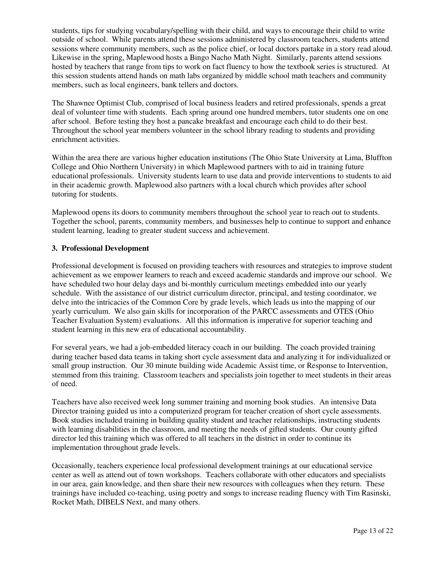students, tips for studying vocabulary/spelling with their child, and ways to encourage their child to write outside of school. While parents attend these sessions administered by classroom teachers, students attend sessions where community members, such as the police chief, or local doctors partake in a story read aloud. Likewise in the spring, Maplewood hosts a Bingo Nacho Math Night. Similarly, parents attend sessions hosted by teachers that range from tips to work on fact fluency to how the textbook series is structured. At this session students attend hands on math labs organized by middle school math teachers and community members, such as local engineers, bank tellers and doctors.

The Shawnee Optimist Club, comprised of local business leaders and retired professionals, spends a great deal of volunteer time with students. Each spring around one hundred members, tutor students one on one after school. Before testing they host a pancake breakfast and encourage each child to do their best. Throughout the school year members volunteer in the school library reading to students and providing enrichment activities.

Within the area there are various higher education institutions (The Ohio State University at Lima, Bluffton College and Ohio Northern University) in which Maplewood partners with to aid in training future educational professionals. University students learn to use data and provide interventions to students to aid in their academic growth. Maplewood also partners with a local church which provides after school tutoring for students.

Maplewood opens its doors to community members throughout the school year to reach out to students. Together the school, parents, community members, and businesses help to continue to support and enhance student learning, leading to greater student success and achievement.

#### **3. Professional Development**

Professional development is focused on providing teachers with resources and strategies to improve student achievement as we empower learners to reach and exceed academic standards and improve our school. We have scheduled two hour delay days and bi-monthly curriculum meetings embedded into our yearly schedule. With the assistance of our district curriculum director, principal, and testing coordinator, we delve into the intricacies of the Common Core by grade levels, which leads us into the mapping of our yearly curriculum. We also gain skills for incorporation of the PARCC assessments and OTES (Ohio Teacher Evaluation System) evaluations. All this information is imperative for superior teaching and student learning in this new era of educational accountability.

For several years, we had a job-embedded literacy coach in our building. The coach provided training during teacher based data teams in taking short cycle assessment data and analyzing it for individualized or small group instruction. Our 30 minute building wide Academic Assist time, or Response to Intervention, stemmed from this training. Classroom teachers and specialists join together to meet students in their areas of need.

Teachers have also received week long summer training and morning book studies. An intensive Data Director training guided us into a computerized program for teacher creation of short cycle assessments. Book studies included training in building quality student and teacher relationships, instructing students with learning disabilities in the classroom, and meeting the needs of gifted students. Our county gifted director led this training which was offered to all teachers in the district in order to continue its implementation throughout grade levels.

Occasionally, teachers experience local professional development trainings at our educational service center as well as attend out of town workshops. Teachers collaborate with other educators and specialists in our area, gain knowledge, and then share their new resources with colleagues when they return. These trainings have included co-teaching, using poetry and songs to increase reading fluency with Tim Rasinski, Rocket Math, DIBELS Next, and many others.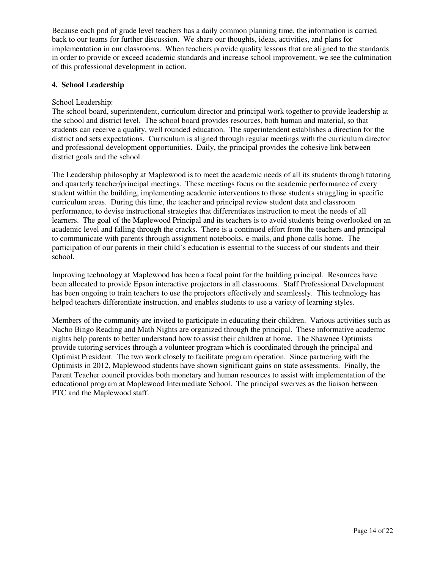Because each pod of grade level teachers has a daily common planning time, the information is carried back to our teams for further discussion. We share our thoughts, ideas, activities, and plans for implementation in our classrooms. When teachers provide quality lessons that are aligned to the standards in order to provide or exceed academic standards and increase school improvement, we see the culmination of this professional development in action.

#### **4. School Leadership**

#### School Leadership:

The school board, superintendent, curriculum director and principal work together to provide leadership at the school and district level. The school board provides resources, both human and material, so that students can receive a quality, well rounded education. The superintendent establishes a direction for the district and sets expectations. Curriculum is aligned through regular meetings with the curriculum director and professional development opportunities. Daily, the principal provides the cohesive link between district goals and the school.

The Leadership philosophy at Maplewood is to meet the academic needs of all its students through tutoring and quarterly teacher/principal meetings. These meetings focus on the academic performance of every student within the building, implementing academic interventions to those students struggling in specific curriculum areas. During this time, the teacher and principal review student data and classroom performance, to devise instructional strategies that differentiates instruction to meet the needs of all learners. The goal of the Maplewood Principal and its teachers is to avoid students being overlooked on an academic level and falling through the cracks. There is a continued effort from the teachers and principal to communicate with parents through assignment notebooks, e-mails, and phone calls home. The participation of our parents in their child's education is essential to the success of our students and their school.

Improving technology at Maplewood has been a focal point for the building principal. Resources have been allocated to provide Epson interactive projectors in all classrooms. Staff Professional Development has been ongoing to train teachers to use the projectors effectively and seamlessly. This technology has helped teachers differentiate instruction, and enables students to use a variety of learning styles.

Members of the community are invited to participate in educating their children. Various activities such as Nacho Bingo Reading and Math Nights are organized through the principal. These informative academic nights help parents to better understand how to assist their children at home. The Shawnee Optimists provide tutoring services through a volunteer program which is coordinated through the principal and Optimist President. The two work closely to facilitate program operation. Since partnering with the Optimists in 2012, Maplewood students have shown significant gains on state assessments. Finally, the Parent Teacher council provides both monetary and human resources to assist with implementation of the educational program at Maplewood Intermediate School. The principal swerves as the liaison between PTC and the Maplewood staff.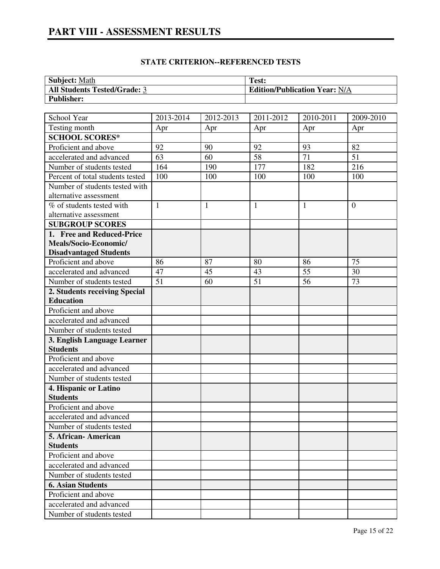## **PART VIII - ASSESSMENT RESULTS**

#### **STATE CRITERION--REFERENCED TESTS**

| <b>Subject: Math</b>                | Test:                                |
|-------------------------------------|--------------------------------------|
| <b>All Students Tested/Grade: 3</b> | <b>Edition/Publication Year: N/A</b> |
| <b>Publisher:</b>                   |                                      |

| School Year                             | 2013-2014    | 2012-2013    | 2011-2012       | 2010-2011       | 2009-2010      |
|-----------------------------------------|--------------|--------------|-----------------|-----------------|----------------|
| Testing month                           | Apr          | Apr          | Apr             | Apr             | Apr            |
| <b>SCHOOL SCORES*</b>                   |              |              |                 |                 |                |
| Proficient and above                    | 92           | 90           | 92              | 93              | 82             |
| accelerated and advanced                | 63           | 60           | $\overline{58}$ | $\overline{71}$ | 51             |
| Number of students tested               | 164          | 190          | 177             | 182             | 216            |
| Percent of total students tested        | 100          | 100          | 100             | 100             | 100            |
| Number of students tested with          |              |              |                 |                 |                |
| alternative assessment                  |              |              |                 |                 |                |
| $\overline{\%}$ of students tested with | $\mathbf{1}$ | $\mathbf{1}$ | $\mathbf{1}$    | 1               | $\overline{0}$ |
| alternative assessment                  |              |              |                 |                 |                |
| <b>SUBGROUP SCORES</b>                  |              |              |                 |                 |                |
| 1. Free and Reduced-Price               |              |              |                 |                 |                |
| Meals/Socio-Economic/                   |              |              |                 |                 |                |
| <b>Disadvantaged Students</b>           |              |              |                 |                 |                |
| Proficient and above                    | 86           | 87           | 80              | 86              | 75             |
| accelerated and advanced                | 47           | 45           | 43              | 55              | 30             |
| Number of students tested               | 51           | 60           | 51              | 56              | 73             |
| 2. Students receiving Special           |              |              |                 |                 |                |
| <b>Education</b>                        |              |              |                 |                 |                |
| Proficient and above                    |              |              |                 |                 |                |
| accelerated and advanced                |              |              |                 |                 |                |
| Number of students tested               |              |              |                 |                 |                |
| 3. English Language Learner             |              |              |                 |                 |                |
| <b>Students</b>                         |              |              |                 |                 |                |
| Proficient and above                    |              |              |                 |                 |                |
| accelerated and advanced                |              |              |                 |                 |                |
| Number of students tested               |              |              |                 |                 |                |
| 4. Hispanic or Latino                   |              |              |                 |                 |                |
| <b>Students</b>                         |              |              |                 |                 |                |
| Proficient and above                    |              |              |                 |                 |                |
| accelerated and advanced                |              |              |                 |                 |                |
| Number of students tested               |              |              |                 |                 |                |
| 5. African-American                     |              |              |                 |                 |                |
| <b>Students</b>                         |              |              |                 |                 |                |
| Proficient and above                    |              |              |                 |                 |                |
| accelerated and advanced                |              |              |                 |                 |                |
| Number of students tested               |              |              |                 |                 |                |
| <b>6. Asian Students</b>                |              |              |                 |                 |                |
| Proficient and above                    |              |              |                 |                 |                |
| accelerated and advanced                |              |              |                 |                 |                |
| Number of students tested               |              |              |                 |                 |                |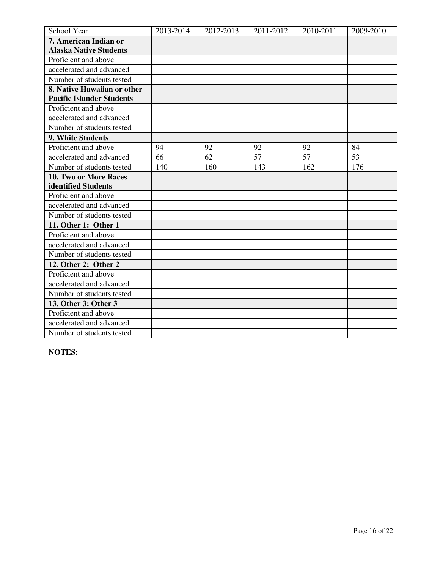| School Year                      | 2013-2014 | 2012-2013 | 2011-2012 | 2010-2011 | 2009-2010 |
|----------------------------------|-----------|-----------|-----------|-----------|-----------|
| 7. American Indian or            |           |           |           |           |           |
| <b>Alaska Native Students</b>    |           |           |           |           |           |
| Proficient and above             |           |           |           |           |           |
| accelerated and advanced         |           |           |           |           |           |
| Number of students tested        |           |           |           |           |           |
| 8. Native Hawaiian or other      |           |           |           |           |           |
| <b>Pacific Islander Students</b> |           |           |           |           |           |
| Proficient and above             |           |           |           |           |           |
| accelerated and advanced         |           |           |           |           |           |
| Number of students tested        |           |           |           |           |           |
| 9. White Students                |           |           |           |           |           |
| Proficient and above             | 94        | 92        | 92        | 92        | 84        |
| accelerated and advanced         | 66        | 62        | 57        | 57        | 53        |
| Number of students tested        | 140       | 160       | 143       | 162       | 176       |
| <b>10. Two or More Races</b>     |           |           |           |           |           |
| identified Students              |           |           |           |           |           |
| Proficient and above             |           |           |           |           |           |
| accelerated and advanced         |           |           |           |           |           |
| Number of students tested        |           |           |           |           |           |
| 11. Other 1: Other 1             |           |           |           |           |           |
| Proficient and above             |           |           |           |           |           |
| accelerated and advanced         |           |           |           |           |           |
| Number of students tested        |           |           |           |           |           |
| 12. Other 2: Other 2             |           |           |           |           |           |
| Proficient and above             |           |           |           |           |           |
| accelerated and advanced         |           |           |           |           |           |
| Number of students tested        |           |           |           |           |           |
| 13. Other 3: Other 3             |           |           |           |           |           |
| Proficient and above             |           |           |           |           |           |
| accelerated and advanced         |           |           |           |           |           |
| Number of students tested        |           |           |           |           |           |

**NOTES:**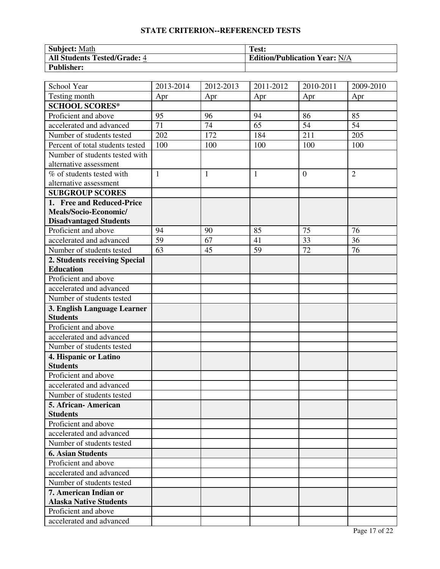#### **STATE CRITERION--REFERENCED TESTS**

| <b>Subject: Math</b>                | Test:                                |
|-------------------------------------|--------------------------------------|
| <b>All Students Tested/Grade: 4</b> | <b>Edition/Publication Year: N/A</b> |
| <b>Publisher:</b>                   |                                      |

| School Year                                            | 2013-2014    | 2012-2013 | 2011-2012    | 2010-2011      | 2009-2010      |
|--------------------------------------------------------|--------------|-----------|--------------|----------------|----------------|
| Testing month                                          | Apr          | Apr       | Apr          | Apr            | Apr            |
| <b>SCHOOL SCORES*</b>                                  |              |           |              |                |                |
| Proficient and above                                   | 95           | 96        | 94           | 86             | 85             |
| accelerated and advanced                               | 71           | 74        | 65           | 54             | 54             |
| Number of students tested                              | 202          | 172       | 184          | 211            | 205            |
| Percent of total students tested                       | 100          | 100       | 100          | 100            | 100            |
| Number of students tested with                         |              |           |              |                |                |
| alternative assessment                                 |              |           |              |                |                |
| % of students tested with                              | $\mathbf{1}$ | 1         | $\mathbf{1}$ | $\overline{0}$ | $\overline{2}$ |
| alternative assessment                                 |              |           |              |                |                |
| <b>SUBGROUP SCORES</b>                                 |              |           |              |                |                |
| 1. Free and Reduced-Price                              |              |           |              |                |                |
| Meals/Socio-Economic/                                  |              |           |              |                |                |
| <b>Disadvantaged Students</b>                          |              |           |              |                |                |
| Proficient and above                                   | 94           | 90        | 85           | 75             | 76             |
| accelerated and advanced                               | 59           | 67        | 41           | 33             | 36             |
| Number of students tested                              | 63           | 45        | 59           | 72             | 76             |
| 2. Students receiving Special                          |              |           |              |                |                |
| <b>Education</b>                                       |              |           |              |                |                |
| Proficient and above                                   |              |           |              |                |                |
| accelerated and advanced                               |              |           |              |                |                |
| Number of students tested                              |              |           |              |                |                |
| 3. English Language Learner                            |              |           |              |                |                |
| <b>Students</b>                                        |              |           |              |                |                |
| Proficient and above                                   |              |           |              |                |                |
| accelerated and advanced                               |              |           |              |                |                |
| Number of students tested                              |              |           |              |                |                |
| 4. Hispanic or Latino                                  |              |           |              |                |                |
| <b>Students</b>                                        |              |           |              |                |                |
| Proficient and above                                   |              |           |              |                |                |
| accelerated and advanced                               |              |           |              |                |                |
| Number of students tested                              |              |           |              |                |                |
| 5. African- American                                   |              |           |              |                |                |
| <b>Students</b>                                        |              |           |              |                |                |
| Proficient and above                                   |              |           |              |                |                |
| accelerated and advanced                               |              |           |              |                |                |
| Number of students tested                              |              |           |              |                |                |
| <b>6. Asian Students</b>                               |              |           |              |                |                |
| Proficient and above                                   |              |           |              |                |                |
| accelerated and advanced                               |              |           |              |                |                |
| Number of students tested                              |              |           |              |                |                |
| 7. American Indian or<br><b>Alaska Native Students</b> |              |           |              |                |                |
| Proficient and above                                   |              |           |              |                |                |
| accelerated and advanced                               |              |           |              |                |                |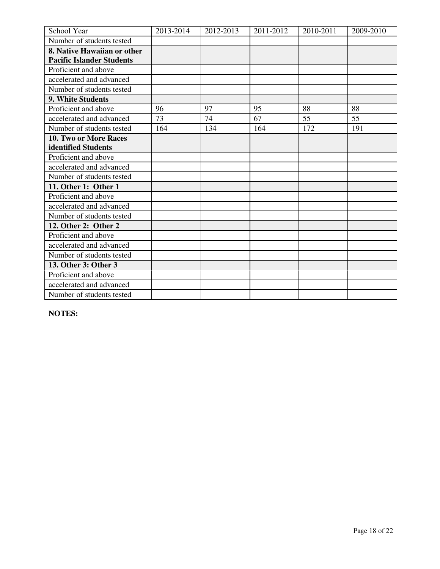| School Year                      | 2013-2014 | 2012-2013 | 2011-2012 | 2010-2011 | 2009-2010 |
|----------------------------------|-----------|-----------|-----------|-----------|-----------|
| Number of students tested        |           |           |           |           |           |
| 8. Native Hawaiian or other      |           |           |           |           |           |
| <b>Pacific Islander Students</b> |           |           |           |           |           |
| Proficient and above             |           |           |           |           |           |
| accelerated and advanced         |           |           |           |           |           |
| Number of students tested        |           |           |           |           |           |
| 9. White Students                |           |           |           |           |           |
| Proficient and above             | 96        | 97        | 95        | 88        | 88        |
| accelerated and advanced         | 73        | 74        | 67        | 55        | 55        |
| Number of students tested        | 164       | 134       | 164       | 172       | 191       |
| 10. Two or More Races            |           |           |           |           |           |
| identified Students              |           |           |           |           |           |
| Proficient and above             |           |           |           |           |           |
| accelerated and advanced         |           |           |           |           |           |
| Number of students tested        |           |           |           |           |           |
| 11. Other 1: Other 1             |           |           |           |           |           |
| Proficient and above             |           |           |           |           |           |
| accelerated and advanced         |           |           |           |           |           |
| Number of students tested        |           |           |           |           |           |
| 12. Other 2: Other 2             |           |           |           |           |           |
| Proficient and above             |           |           |           |           |           |
| accelerated and advanced         |           |           |           |           |           |
| Number of students tested        |           |           |           |           |           |
| 13. Other 3: Other 3             |           |           |           |           |           |
| Proficient and above             |           |           |           |           |           |
| accelerated and advanced         |           |           |           |           |           |
| Number of students tested        |           |           |           |           |           |

**NOTES:**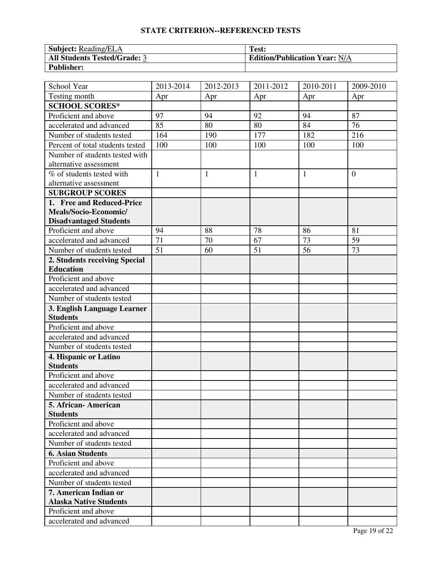#### **STATE CRITERION--REFERENCED TESTS**

| <b>Subject:</b> Reading/ELA         | Test:                                |
|-------------------------------------|--------------------------------------|
| <b>All Students Tested/Grade: 3</b> | <b>Edition/Publication Year: N/A</b> |
| <b>Publisher:</b>                   |                                      |

| School Year                      | 2013-2014    | 2012-2013 | 2011-2012    | 2010-2011    | 2009-2010      |
|----------------------------------|--------------|-----------|--------------|--------------|----------------|
| Testing month                    | Apr          | Apr       | Apr          | Apr          | Apr            |
| <b>SCHOOL SCORES*</b>            |              |           |              |              |                |
| Proficient and above             | 97           | 94        | 92           | 94           | 87             |
| accelerated and advanced         | 85           | 80        | 80           | 84           | 76             |
| Number of students tested        | 164          | 190       | 177          | 182          | 216            |
| Percent of total students tested | 100          | 100       | 100          | 100          | 100            |
| Number of students tested with   |              |           |              |              |                |
| alternative assessment           |              |           |              |              |                |
| % of students tested with        | $\mathbf{1}$ | 1         | $\mathbf{1}$ | $\mathbf{1}$ | $\overline{0}$ |
| alternative assessment           |              |           |              |              |                |
| <b>SUBGROUP SCORES</b>           |              |           |              |              |                |
| 1. Free and Reduced-Price        |              |           |              |              |                |
| Meals/Socio-Economic/            |              |           |              |              |                |
| <b>Disadvantaged Students</b>    |              |           |              |              |                |
| Proficient and above             | 94           | 88        | 78           | 86           | 81             |
| accelerated and advanced         | 71           | 70        | 67           | 73           | 59             |
| Number of students tested        | 51           | 60        | 51           | 56           | 73             |
| 2. Students receiving Special    |              |           |              |              |                |
| <b>Education</b>                 |              |           |              |              |                |
| Proficient and above             |              |           |              |              |                |
| accelerated and advanced         |              |           |              |              |                |
| Number of students tested        |              |           |              |              |                |
| 3. English Language Learner      |              |           |              |              |                |
| <b>Students</b>                  |              |           |              |              |                |
| Proficient and above             |              |           |              |              |                |
| accelerated and advanced         |              |           |              |              |                |
| Number of students tested        |              |           |              |              |                |
| 4. Hispanic or Latino            |              |           |              |              |                |
| <b>Students</b>                  |              |           |              |              |                |
| Proficient and above             |              |           |              |              |                |
| accelerated and advanced         |              |           |              |              |                |
| Number of students tested        |              |           |              |              |                |
| 5. African- American             |              |           |              |              |                |
| <b>Students</b>                  |              |           |              |              |                |
| Proficient and above             |              |           |              |              |                |
| accelerated and advanced         |              |           |              |              |                |
| Number of students tested        |              |           |              |              |                |
| <b>6. Asian Students</b>         |              |           |              |              |                |
| Proficient and above             |              |           |              |              |                |
| accelerated and advanced         |              |           |              |              |                |
| Number of students tested        |              |           |              |              |                |
| 7. American Indian or            |              |           |              |              |                |
| <b>Alaska Native Students</b>    |              |           |              |              |                |
| Proficient and above             |              |           |              |              |                |
| accelerated and advanced         |              |           |              |              |                |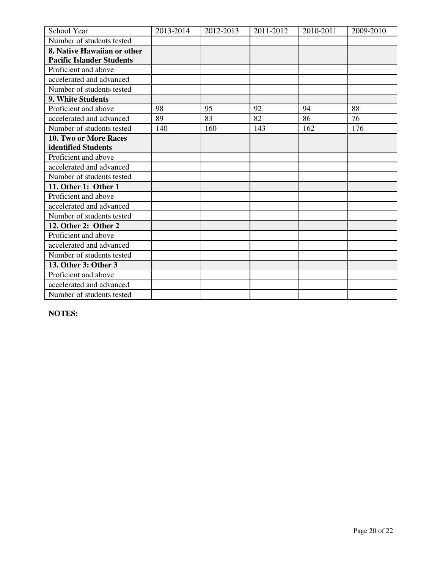| School Year                      | 2013-2014 | 2012-2013 | 2011-2012 | 2010-2011 | 2009-2010 |
|----------------------------------|-----------|-----------|-----------|-----------|-----------|
| Number of students tested        |           |           |           |           |           |
| 8. Native Hawaiian or other      |           |           |           |           |           |
| <b>Pacific Islander Students</b> |           |           |           |           |           |
| Proficient and above             |           |           |           |           |           |
| accelerated and advanced         |           |           |           |           |           |
| Number of students tested        |           |           |           |           |           |
| 9. White Students                |           |           |           |           |           |
| Proficient and above             | 98        | 95        | 92        | 94        | 88        |
| accelerated and advanced         | 89        | 83        | 82        | 86        | 76        |
| Number of students tested        | 140       | 160       | 143       | 162       | 176       |
| <b>10. Two or More Races</b>     |           |           |           |           |           |
| identified Students              |           |           |           |           |           |
| Proficient and above             |           |           |           |           |           |
| accelerated and advanced         |           |           |           |           |           |
| Number of students tested        |           |           |           |           |           |
| 11. Other 1: Other 1             |           |           |           |           |           |
| Proficient and above             |           |           |           |           |           |
| accelerated and advanced         |           |           |           |           |           |
| Number of students tested        |           |           |           |           |           |
| 12. Other 2: Other 2             |           |           |           |           |           |
| Proficient and above             |           |           |           |           |           |
| accelerated and advanced         |           |           |           |           |           |
| Number of students tested        |           |           |           |           |           |
| 13. Other 3: Other 3             |           |           |           |           |           |
| Proficient and above             |           |           |           |           |           |
| accelerated and advanced         |           |           |           |           |           |
| Number of students tested        |           |           |           |           |           |

**NOTES:**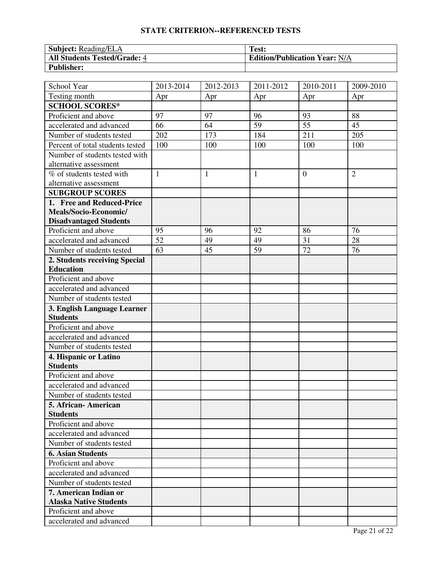#### **STATE CRITERION--REFERENCED TESTS**

| <b>Subject: Reading/ELA</b>         | Test:                                |
|-------------------------------------|--------------------------------------|
| <b>All Students Tested/Grade: 4</b> | <b>Edition/Publication Year: N/A</b> |
| <b>Publisher:</b>                   |                                      |

| School Year                                            | 2013-2014    | 2012-2013 | 2011-2012    | $\overline{20}10 - 2011$ | 2009-2010      |
|--------------------------------------------------------|--------------|-----------|--------------|--------------------------|----------------|
| Testing month                                          | Apr          | Apr       | Apr          | Apr                      | Apr            |
| <b>SCHOOL SCORES*</b>                                  |              |           |              |                          |                |
| Proficient and above                                   | 97           | 97        | 96           | 93                       | 88             |
| accelerated and advanced                               | 66           | 64        | 59           | 55                       | 45             |
| Number of students tested                              | 202          | 173       | 184          | 211                      | 205            |
| Percent of total students tested                       | 100          | 100       | 100          | 100                      | 100            |
| Number of students tested with                         |              |           |              |                          |                |
| alternative assessment                                 |              |           |              |                          |                |
| % of students tested with                              | $\mathbf{1}$ | 1         | $\mathbf{1}$ | $\overline{0}$           | $\overline{2}$ |
| alternative assessment                                 |              |           |              |                          |                |
| <b>SUBGROUP SCORES</b>                                 |              |           |              |                          |                |
| 1. Free and Reduced-Price                              |              |           |              |                          |                |
| Meals/Socio-Economic/                                  |              |           |              |                          |                |
| <b>Disadvantaged Students</b>                          |              |           |              |                          |                |
| Proficient and above                                   | 95           | 96        | 92           | 86                       | 76             |
| accelerated and advanced                               | 52           | 49        | 49           | 31                       | 28             |
| Number of students tested                              | 63           | 45        | 59           | 72                       | 76             |
| 2. Students receiving Special                          |              |           |              |                          |                |
| <b>Education</b>                                       |              |           |              |                          |                |
| Proficient and above                                   |              |           |              |                          |                |
| accelerated and advanced                               |              |           |              |                          |                |
| Number of students tested                              |              |           |              |                          |                |
| 3. English Language Learner                            |              |           |              |                          |                |
| <b>Students</b>                                        |              |           |              |                          |                |
| Proficient and above                                   |              |           |              |                          |                |
| accelerated and advanced                               |              |           |              |                          |                |
| Number of students tested                              |              |           |              |                          |                |
| 4. Hispanic or Latino                                  |              |           |              |                          |                |
| <b>Students</b>                                        |              |           |              |                          |                |
| Proficient and above                                   |              |           |              |                          |                |
| accelerated and advanced                               |              |           |              |                          |                |
| Number of students tested                              |              |           |              |                          |                |
| 5. African- American                                   |              |           |              |                          |                |
| <b>Students</b>                                        |              |           |              |                          |                |
| Proficient and above                                   |              |           |              |                          |                |
| accelerated and advanced                               |              |           |              |                          |                |
| Number of students tested                              |              |           |              |                          |                |
| <b>6. Asian Students</b>                               |              |           |              |                          |                |
| Proficient and above                                   |              |           |              |                          |                |
| accelerated and advanced                               |              |           |              |                          |                |
| Number of students tested                              |              |           |              |                          |                |
| 7. American Indian or<br><b>Alaska Native Students</b> |              |           |              |                          |                |
| Proficient and above                                   |              |           |              |                          |                |
| accelerated and advanced                               |              |           |              |                          |                |